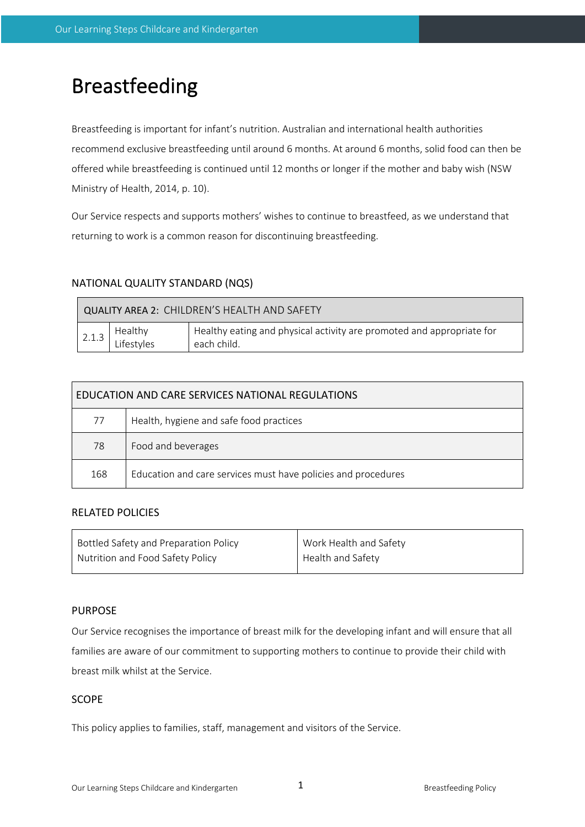# Breastfeeding

Breastfeeding is important for infant's nutrition. Australian and international health authorities recommend exclusive breastfeeding until around 6 months. At around 6 months, solid food can then be offered while breastfeeding is continued until 12 months or longer if the mother and baby wish (NSW Ministry of Health, 2014, p. 10).

Our Service respects and supports mothers' wishes to continue to breastfeed, as we understand that returning to work is a common reason for discontinuing breastfeeding.

## NATIONAL QUALITY STANDARD (NQS)

| QUALITY AREA 2: CHILDREN'S HEALTH AND SAFETY |                       |                                                                                      |  |  |  |  |
|----------------------------------------------|-----------------------|--------------------------------------------------------------------------------------|--|--|--|--|
| 2.1.3                                        | Healthy<br>Lifestyles | Healthy eating and physical activity are promoted and appropriate for<br>each child. |  |  |  |  |

| EDUCATION AND CARE SERVICES NATIONAL REGULATIONS |                                                               |  |  |  |  |
|--------------------------------------------------|---------------------------------------------------------------|--|--|--|--|
| 77                                               | Health, hygiene and safe food practices                       |  |  |  |  |
| 78                                               | Food and beverages                                            |  |  |  |  |
| 168                                              | Education and care services must have policies and procedures |  |  |  |  |

## RELATED POLICIES

| Bottled Safety and Preparation Policy | Work Health and Safety |
|---------------------------------------|------------------------|
| Nutrition and Food Safety Policy      | Health and Safety      |

## PURPOSE

Our Service recognises the importance of breast milk for the developing infant and will ensure that all families are aware of our commitment to supporting mothers to continue to provide their child with breast milk whilst at the Service.

# **SCOPE**

This policy applies to families, staff, management and visitors of the Service.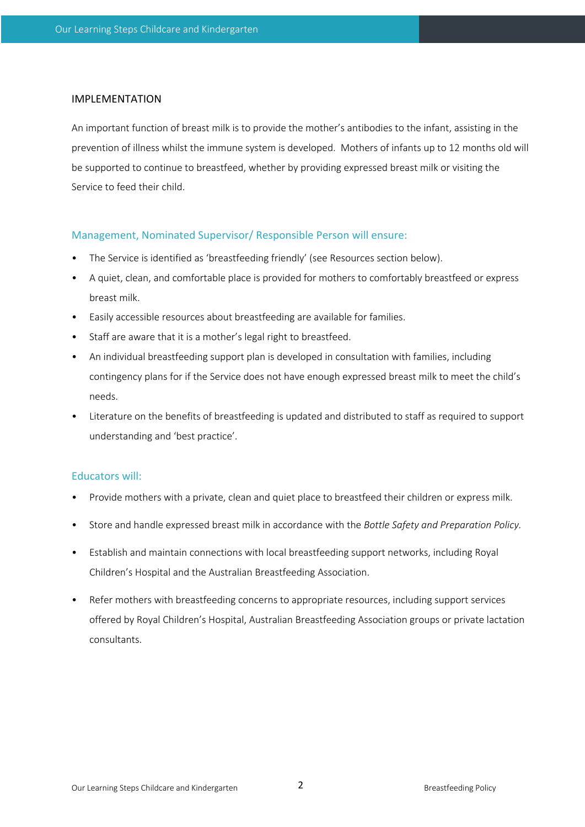#### IMPLEMENTATION

An important function of breast milk is to provide the mother's antibodies to the infant, assisting in the prevention of illness whilst the immune system is developed. Mothers of infants up to 12 months old will be supported to continue to breastfeed, whether by providing expressed breast milk or visiting the Service to feed their child.

## Management, Nominated Supervisor/ Responsible Person will ensure:

- The Service is identified as 'breastfeeding friendly' (see Resources section below).
- A quiet, clean, and comfortable place is provided for mothers to comfortably breastfeed or express breast milk.
- Easily accessible resources about breastfeeding are available for families.
- Staff are aware that it is a mother's legal right to breastfeed.
- An individual breastfeeding support plan is developed in consultation with families, including contingency plans for if the Service does not have enough expressed breast milk to meet the child's needs.
- Literature on the benefits of breastfeeding is updated and distributed to staff as required to support understanding and 'best practice'.

## Educators will:

- Provide mothers with a private, clean and quiet place to breastfeed their children or express milk.
- Store and handle expressed breast milk in accordance with the *Bottle Safety and Preparation Policy.*
- Establish and maintain connections with local breastfeeding support networks, including Royal Children's Hospital and the Australian Breastfeeding Association.
- Refer mothers with breastfeeding concerns to appropriate resources, including support services offered by Royal Children's Hospital, Australian Breastfeeding Association groups or private lactation consultants.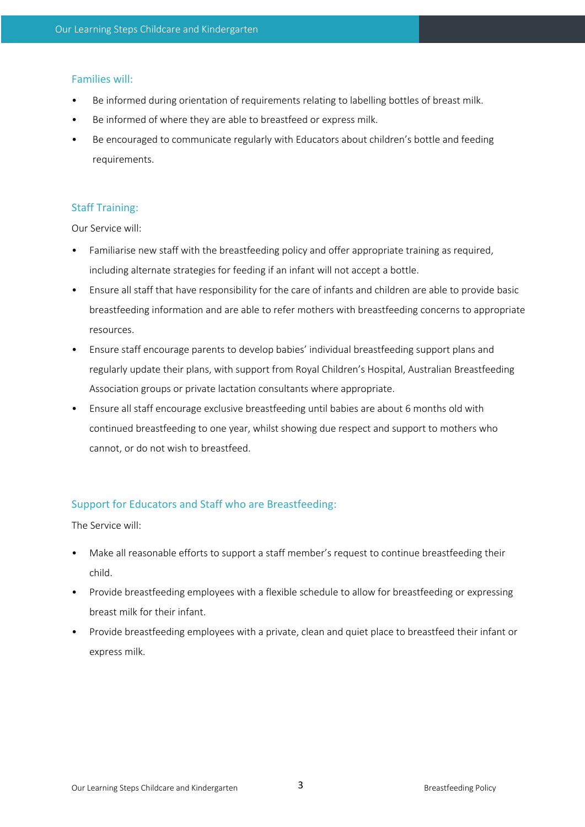#### Families will:

- Be informed during orientation of requirements relating to labelling bottles of breast milk.
- Be informed of where they are able to breastfeed or express milk.
- Be encouraged to communicate regularly with Educators about children's bottle and feeding requirements.

## Staff Training:

Our Service will:

- Familiarise new staff with the breastfeeding policy and offer appropriate training as required, including alternate strategies for feeding if an infant will not accept a bottle.
- Ensure all staff that have responsibility for the care of infants and children are able to provide basic breastfeeding information and are able to refer mothers with breastfeeding concerns to appropriate resources.
- Ensure staff encourage parents to develop babies' individual breastfeeding support plans and regularly update their plans, with support from Royal Children's Hospital, Australian Breastfeeding Association groups or private lactation consultants where appropriate.
- Ensure all staff encourage exclusive breastfeeding until babies are about 6 months old with continued breastfeeding to one year, whilst showing due respect and support to mothers who cannot, or do not wish to breastfeed.

## Support for Educators and Staff who are Breastfeeding:

The Service will:

- Make all reasonable efforts to support a staff member's request to continue breastfeeding their child.
- Provide breastfeeding employees with a flexible schedule to allow for breastfeeding or expressing breast milk for their infant.
- Provide breastfeeding employees with a private, clean and quiet place to breastfeed their infant or express milk.